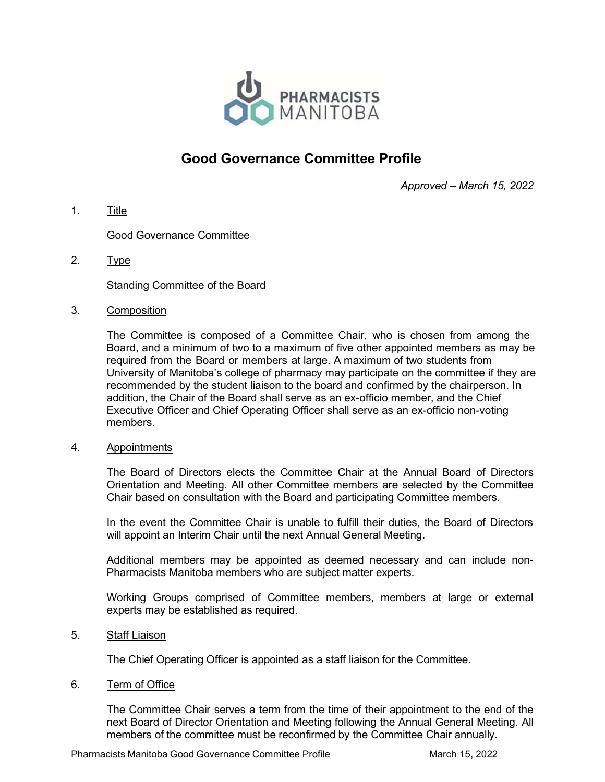

# Good Governance Committee Profile

Approved – March 15, 2022

1. Title

Good Governance Committee

2. Type

Standing Committee of the Board

3. Composition

The Committee is composed of a Committee Chair, who is chosen from among the Board, and a minimum of two to a maximum of five other appointed members as may be required from the Board or members at large. A maximum of two students from University of Manitoba's college of pharmacy may participate on the committee if they are recommended by the student liaison to the board and confirmed by the chairperson. In addition, the Chair of the Board shall serve as an ex-officio member, and the Chief Executive Officer and Chief Operating Officer shall serve as an ex-officio non-voting members.

4. Appointments

The Board of Directors elects the Committee Chair at the Annual Board of Directors Orientation and Meeting. All other Committee members are selected by the Committee Chair based on consultation with the Board and participating Committee members.

In the event the Committee Chair is unable to fulfill their duties, the Board of Directors will appoint an Interim Chair until the next Annual General Meeting.

Additional members may be appointed as deemed necessary and can include non-Pharmacists Manitoba members who are subject matter experts.

Working Groups comprised of Committee members, members at large or external experts may be established as required.

5. Staff Liaison

The Chief Operating Officer is appointed as a staff liaison for the Committee.

6. Term of Office

The Committee Chair serves a term from the time of their appointment to the end of the next Board of Director Orientation and Meeting following the Annual General Meeting. All members of the committee must be reconfirmed by the Committee Chair annually.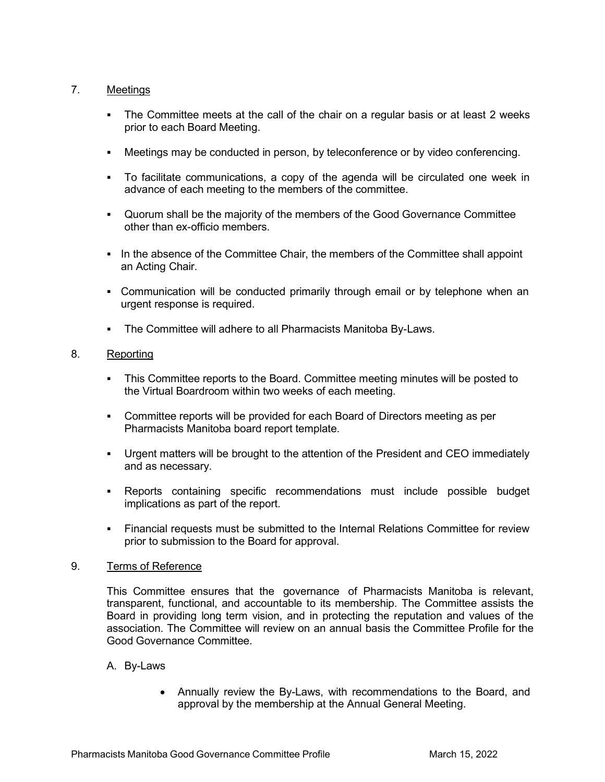## 7. Meetings

- The Committee meets at the call of the chair on a regular basis or at least 2 weeks prior to each Board Meeting.
- Meetings may be conducted in person, by teleconference or by video conferencing.
- To facilitate communications, a copy of the agenda will be circulated one week in advance of each meeting to the members of the committee.
- Quorum shall be the majority of the members of the Good Governance Committee other than ex-officio members.
- In the absence of the Committee Chair, the members of the Committee shall appoint an Acting Chair.
- Communication will be conducted primarily through email or by telephone when an urgent response is required.
- The Committee will adhere to all Pharmacists Manitoba By-Laws.

## 8. Reporting

- This Committee reports to the Board. Committee meeting minutes will be posted to the Virtual Boardroom within two weeks of each meeting.
- Committee reports will be provided for each Board of Directors meeting as per Pharmacists Manitoba board report template.
- Urgent matters will be brought to the attention of the President and CEO immediately and as necessary.
- Reports containing specific recommendations must include possible budget implications as part of the report.
- Financial requests must be submitted to the Internal Relations Committee for review prior to submission to the Board for approval.

## 9. Terms of Reference

This Committee ensures that the governance of Pharmacists Manitoba is relevant, transparent, functional, and accountable to its membership. The Committee assists the Board in providing long term vision, and in protecting the reputation and values of the association. The Committee will review on an annual basis the Committee Profile for the Good Governance Committee.

- A. By-Laws
	- Annually review the By-Laws, with recommendations to the Board, and approval by the membership at the Annual General Meeting.